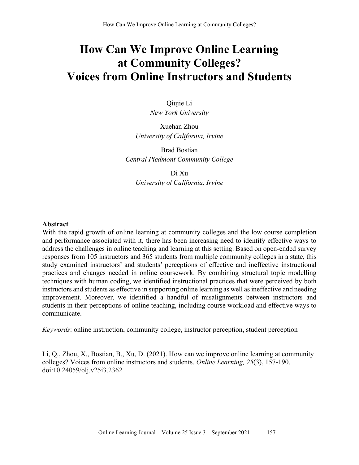# **How Can We Improve Online Learning at Community Colleges? Voices from Online Instructors and Students**

Qiujie Li *New York University*

Xuehan Zhou *University of California, Irvine* 

Brad Bostian *Central Piedmont Community College*

Di Xu *University of California, Irvine* 

#### **Abstract**

With the rapid growth of online learning at community colleges and the low course completion and performance associated with it, there has been increasing need to identify effective ways to address the challenges in online teaching and learning at this setting. Based on open-ended survey responses from 105 instructors and 365 students from multiple community colleges in a state, this study examined instructors' and students' perceptions of effective and ineffective instructional practices and changes needed in online coursework. By combining structural topic modelling techniques with human coding, we identified instructional practices that were perceived by both instructors and students as effective in supporting online learning as well as ineffective and needing improvement. Moreover, we identified a handful of misalignments between instructors and students in their perceptions of online teaching, including course workload and effective ways to communicate.

*Keywords*: online instruction, community college, instructor perception, student perception

Li, Q., Zhou, X., Bostian, B., Xu, D. (2021). How can we improve online learning at community colleges? Voices from online instructors and students. *Online Learning, 25*(3), 157-190. doi:10.24059/olj.v25i3.2362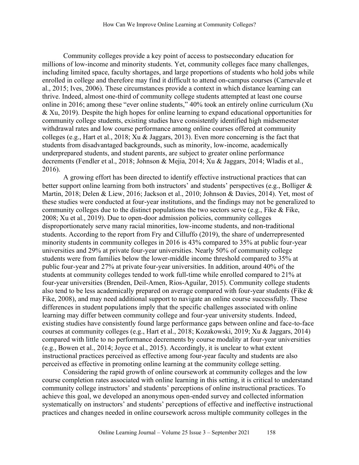Community colleges provide a key point of access to postsecondary education for millions of low-income and minority students. Yet, community colleges face many challenges, including limited space, faculty shortages, and large proportions of students who hold jobs while enrolled in college and therefore may find it difficult to attend on-campus courses (Carnevale et al., 2015; Ives, 2006). These circumstances provide a context in which distance learning can thrive. Indeed, almost one-third of community college students attempted at least one course online in 2016; among these "ever online students," 40% took an entirely online curriculum (Xu & Xu, 2019). Despite the high hopes for online learning to expand educational opportunities for community college students, existing studies have consistently identified high midsemester withdrawal rates and low course performance among online courses offered at community colleges (e.g., Hart et al., 2018; Xu & Jaggars, 2013). Even more concerning is the fact that students from disadvantaged backgrounds, such as minority, low-income, academically underprepared students, and student parents, are subject to greater online performance decrements (Fendler et al., 2018; Johnson & Mejia, 2014; Xu & Jaggars, 2014; Wladis et al., 2016).

A growing effort has been directed to identify effective instructional practices that can better support online learning from both instructors' and students' perspectives (e.g., Bolliger & Martin, 2018; Delen & Liew, 2016; Jackson et al., 2010; Johnson & Davies, 2014). Yet, most of these studies were conducted at four-year institutions, and the findings may not be generalized to community colleges due to the distinct populations the two sectors serve (e.g., Fike & Fike, 2008; Xu et al., 2019). Due to open-door admission policies, community colleges disproportionately serve many racial minorities, low-income students, and non-traditional students. According to the report from Fry and Cilluffo (2019), the share of underrepresented minority students in community colleges in 2016 is 43% compared to 35% at public four-year universities and 29% at private four-year universities. Nearly 50% of community college students were from families below the lower-middle income threshold compared to 35% at public four-year and 27% at private four-year universities. In addition, around 40% of the students at community colleges tended to work full-time while enrolled compared to 21% at four-year universities (Brenden, Deil-Amen, Rios-Aguilar, 2015). Community college students also tend to be less academically prepared on average compared with four-year students (Fike & Fike, 2008), and may need additional support to navigate an online course successfully. These differences in student populations imply that the specific challenges associated with online learning may differ between community college and four-year university students. Indeed, existing studies have consistently found large performance gaps between online and face-to-face courses at community colleges (e.g., Hart et al., 2018; Kozakowski, 2019; Xu & Jaggars, 2014) compared with little to no performance decrements by course modality at four-year universities (e.g., Bowen et al., 2014; Joyce et al., 2015). Accordingly, it is unclear to what extent instructional practices perceived as effective among four-year faculty and students are also perceived as effective in promoting online learning at the community college setting.

Considering the rapid growth of online coursework at community colleges and the low course completion rates associated with online learning in this setting, it is critical to understand community college instructors' and students' perceptions of online instructional practices. To achieve this goal, we developed an anonymous open-ended survey and collected information systematically on instructors' and students' perceptions of effective and ineffective instructional practices and changes needed in online coursework across multiple community colleges in the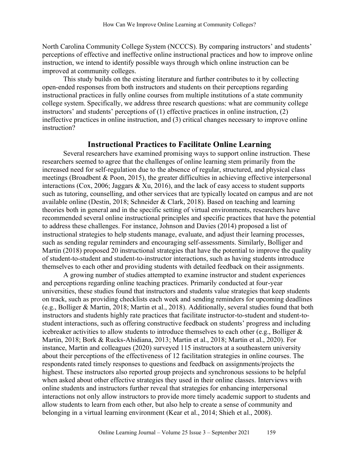North Carolina Community College System (NCCCS). By comparing instructors' and students' perceptions of effective and ineffective online instructional practices and how to improve online instruction, we intend to identify possible ways through which online instruction can be improved at community colleges.

This study builds on the existing literature and further contributes to it by collecting open-ended responses from both instructors and students on their perceptions regarding instructional practices in fully online courses from multiple institutions of a state community college system. Specifically, we address three research questions: what are community college instructors' and students' perceptions of (1) effective practices in online instruction, (2) ineffective practices in online instruction, and (3) critical changes necessary to improve online instruction?

#### **Instructional Practices to Facilitate Online Learning**

Several researchers have examined promising ways to support online instruction. These researchers seemed to agree that the challenges of online learning stem primarily from the increased need for self-regulation due to the absence of regular, structured, and physical class meetings (Broadbent & Poon, 2015), the greater difficulties in achieving effective interpersonal interactions (Cox, 2006; Jaggars & Xu, 2016), and the lack of easy access to student supports such as tutoring, counselling, and other services that are typically located on campus and are not available online (Destin, 2018; Schneider & Clark, 2018). Based on teaching and learning theories both in general and in the specific setting of virtual environments, researchers have recommended several online instructional principles and specific practices that have the potential to address these challenges. For instance, Johnson and Davies (2014) proposed a list of instructional strategies to help students manage, evaluate, and adjust their learning processes, such as sending regular reminders and encouraging self-assessments. Similarly, Bolliger and Martin (2018) proposed 20 instructional strategies that have the potential to improve the quality of student-to-student and student-to-instructor interactions, such as having students introduce themselves to each other and providing students with detailed feedback on their assignments.

A growing number of studies attempted to examine instructor and student experiences and perceptions regarding online teaching practices. Primarily conducted at four-year universities, these studies found that instructors and students value strategies that keep students on track, such as providing checklists each week and sending reminders for upcoming deadlines (e.g., Bolliger & Martin, 2018; Martin et al., 2018). Additionally, several studies found that both instructors and students highly rate practices that facilitate instructor-to-student and student-tostudent interactions, such as offering constructive feedback on students' progress and including icebreaker activities to allow students to introduce themselves to each other (e.g., Bolliger & Martin, 2018; Bork & Rucks-Ahidiana, 2013; Martin et al., 2018; Martin et al., 2020). For instance, Martin and colleagues (2020) surveyed 115 instructors at a southeastern university about their perceptions of the effectiveness of 12 facilitation strategies in online courses. The respondents rated timely responses to questions and feedback on assignments/projects the highest. These instructors also reported group projects and synchronous sessions to be helpful when asked about other effective strategies they used in their online classes. Interviews with online students and instructors further reveal that strategies for enhancing interpersonal interactions not only allow instructors to provide more timely academic support to students and allow students to learn from each other, but also help to create a sense of community and belonging in a virtual learning environment (Kear et al., 2014; Shieh et al., 2008).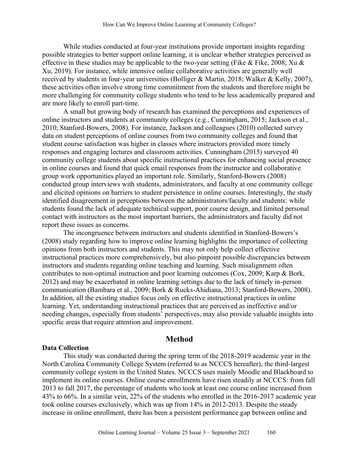While studies conducted at four-year institutions provide important insights regarding possible strategies to better support online learning, it is unclear whether strategies perceived as effective in these studies may be applicable to the two-year setting (Fike & Fike, 2008; Xu & Xu, 2019). For instance, while intensive online collaborative activities are generally well received by students in four-year universities (Bolliger & Martin, 2018; Walker & Kelly, 2007), these activities often involve strong time commitment from the students and therefore might be more challenging for community college students who tend to be less academically prepared and are more likely to enroll part-time.

A small but growing body of research has examined the perceptions and experiences of online instructors and students at community colleges (e.g., Cunningham, 2015; Jackson et al., 2010; Stanford-Bowers, 2008). For instance, Jackson and colleagues (2010) collected survey data on student perceptions of online courses from two community colleges and found that student course satisfaction was higher in classes where instructors provided more timely responses and engaging lectures and classroom activities. Cunningham (2015) surveyed 40 community college students about specific instructional practices for enhancing social presence in online courses and found that quick email responses from the instructor and collaborative group work opportunities played an important role. Similarly, Stanford-Bowers (2008) conducted group interviews with students, administrators, and faculty at one community college and elicited opinions on barriers to student persistence in online courses. Interestingly, the study identified disagreement in perceptions between the administrators/faculty and students: while students found the lack of adequate technical support, poor course design, and limited personal contact with instructors as the most important barriers, the administrators and faculty did not report these issues as concerns.

The incongruence between instructors and students identified in Stanford-Bowers's (2008) study regarding how to improve online learning highlights the importance of collecting opinions from both instructors and students. This may not only help collect effective instructional practices more comprehensively, but also pinpoint possible discrepancies between instructors and students regarding online teaching and learning. Such misalignment often contributes to non-optimal instruction and poor learning outcomes (Cox, 2009; Karp & Bork, 2012) and may be exacerbated in online learning settings due to the lack of timely in-person communication (Bambara et al., 2009; Bork & Rucks-Ahidiana, 2013; Stanford-Bowers, 2008). In addition, all the existing studies focus only on effective instructional practices in online learning. Yet, understanding instructional practices that are perceived as ineffective and/or needing changes, especially from students' perspectives, may also provide valuable insights into specific areas that require attention and improvement.

#### **Method**

#### **Data Collection**

This study was conducted during the spring term of the 2018-2019 academic year in the North Carolina Community College System (referred to as NCCCS hereafter), the third-largest community college system in the United States. NCCCS uses mainly Moodle and Blackboard to implement its online courses. Online course enrollments have risen steadily at NCCCS: from fall 2013 to fall 2017, the percentage of students who took at least one course online increased from 43% to 66%. In a similar vein, 22% of the students who enrolled in the 2016-2017 academic year took online courses exclusively, which was up from 14% in 2012-2013. Despite the steady increase in online enrollment, there has been a persistent performance gap between online and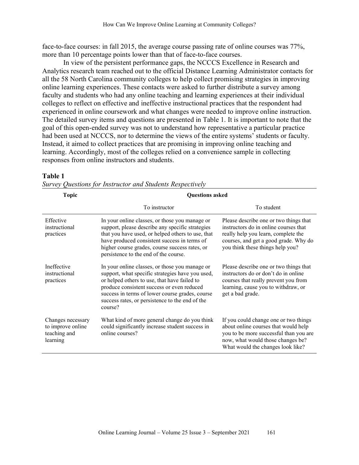face-to-face courses: in fall 2015, the average course passing rate of online courses was 77%, more than 10 percentage points lower than that of face-to-face courses.

In view of the persistent performance gaps, the NCCCS Excellence in Research and Analytics research team reached out to the official Distance Learning Administrator contacts for all the 58 North Carolina community colleges to help collect promising strategies in improving online learning experiences. These contacts were asked to further distribute a survey among faculty and students who had any online teaching and learning experiences at their individual colleges to reflect on effective and ineffective instructional practices that the respondent had experienced in online coursework and what changes were needed to improve online instruction. The detailed survey items and questions are presented in Table 1. It is important to note that the goal of this open-ended survey was not to understand how representative a particular practice had been used at NCCCS, nor to determine the views of the entire systems' students or faculty. Instead, it aimed to collect practices that are promising in improving online teaching and learning. Accordingly, most of the colleges relied on a convenience sample in collecting responses from online instructors and students.

#### **Table 1**

| <b>Topic</b>                                                       | <b>Questions asked</b>                                                                                                                                                                                                                                                                                            |                                                                                                                                                                                                     |  |  |
|--------------------------------------------------------------------|-------------------------------------------------------------------------------------------------------------------------------------------------------------------------------------------------------------------------------------------------------------------------------------------------------------------|-----------------------------------------------------------------------------------------------------------------------------------------------------------------------------------------------------|--|--|
|                                                                    | To instructor                                                                                                                                                                                                                                                                                                     | To student                                                                                                                                                                                          |  |  |
| Effective<br>instructional<br>practices                            | In your online classes, or those you manage or<br>support, please describe any specific strategies<br>that you have used, or helped others to use, that<br>have produced consistent success in terms of<br>higher course grades, course success rates, or<br>persistence to the end of the course.                | Please describe one or two things that<br>instructors do in online courses that<br>really help you learn, complete the<br>courses, and get a good grade. Why do<br>you think these things help you? |  |  |
| Ineffective<br>instructional<br>practices                          | In your online classes, or those you manage or<br>support, what specific strategies have you used,<br>or helped others to use, that have failed to<br>produce consistent success or even reduced<br>success in terms of lower course grades, course<br>success rates, or persistence to the end of the<br>course? | Please describe one or two things that<br>instructors do or don't do in online<br>courses that really prevent you from<br>learning, cause you to withdraw, or<br>get a bad grade.                   |  |  |
| Changes necessary<br>to improve online<br>teaching and<br>learning | What kind of more general change do you think<br>could significantly increase student success in<br>online courses?                                                                                                                                                                                               | If you could change one or two things<br>about online courses that would help<br>you to be more successful than you are<br>now, what would those changes be?<br>What would the changes look like?   |  |  |

|  | Survey Questions for Instructor and Students Respectively |  |  |  |
|--|-----------------------------------------------------------|--|--|--|
|  |                                                           |  |  |  |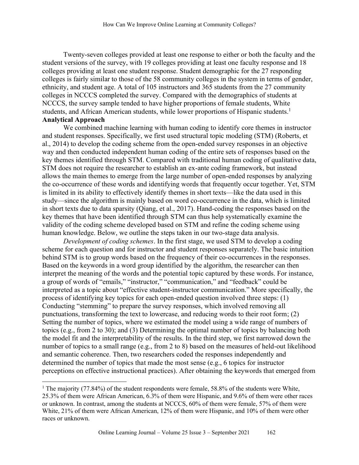Twenty-seven colleges provided at least one response to either or both the faculty and the student versions of the survey, with 19 colleges providing at least one faculty response and 18 colleges providing at least one student response. Student demographic for the 27 responding colleges is fairly similar to those of the 58 community colleges in the system in terms of gender, ethnicity, and student age. A total of 105 instructors and 365 students from the 27 community colleges in NCCCS completed the survey. Compared with the demographics of students at NCCCS, the survey sample tended to have higher proportions of female students, White students, and African American students, while lower proportions of Hispanic students.<sup>1</sup> **Analytical Approach**

We combined machine learning with human coding to identify core themes in instructor and student responses. Specifically, we first used structural topic modeling (STM) (Roberts, et al., 2014) to develop the coding scheme from the open-ended survey responses in an objective way and then conducted independent human coding of the entire sets of responses based on the key themes identified through STM. Compared with traditional human coding of qualitative data, STM does not require the researcher to establish an ex-ante coding framework, but instead allows the main themes to emerge from the large number of open-ended responses by analyzing the co-occurrence of these words and identifying words that frequently occur together. Yet, STM is limited in its ability to effectively identify themes in short texts—like the data used in this study—since the algorithm is mainly based on word co-occurrence in the data, which is limited in short texts due to data sparsity (Qiang, et al., 2017). Hand-coding the responses based on the key themes that have been identified through STM can thus help systematically examine the validity of the coding scheme developed based on STM and refine the coding scheme using human knowledge. Below, we outline the steps taken in our two-stage data analysis.

*Development of coding schemes*. In the first stage, we used STM to develop a coding scheme for each question and for instructor and student responses separately. The basic intuition behind STM is to group words based on the frequency of their co-occurrences in the responses. Based on the keywords in a word group identified by the algorithm, the researcher can then interpret the meaning of the words and the potential topic captured by these words. For instance, a group of words of "emails," "instructor," "communication," and "feedback" could be interpreted as a topic about "effective student-instructor communication." More specifically, the process of identifying key topics for each open-ended question involved three steps: (1) Conducting "stemming" to prepare the survey responses, which involved removing all punctuations, transforming the text to lowercase, and reducing words to their root form; (2) Setting the number of topics, where we estimated the model using a wide range of numbers of topics (e.g., from 2 to 30); and (3) Determining the optimal number of topics by balancing both the model fit and the interpretability of the results. In the third step, we first narrowed down the number of topics to a small range (e.g., from 2 to 8) based on the measures of held-out likelihood and semantic coherence. Then, two researchers coded the responses independently and determined the number of topics that made the most sense (e.g., 6 topics for instructor perceptions on effective instructional practices). After obtaining the keywords that emerged from

<sup>&</sup>lt;sup>1</sup> The majority (77.84%) of the student respondents were female, 58.8% of the students were White, 25.3% of them were African American, 6.3% of them were Hispanic, and 9.6% of them were other races or unknown. In contrast, among the students at NCCCS, 60% of them were female, 57% of them were White, 21% of them were African American, 12% of them were Hispanic, and 10% of them were other races or unknown.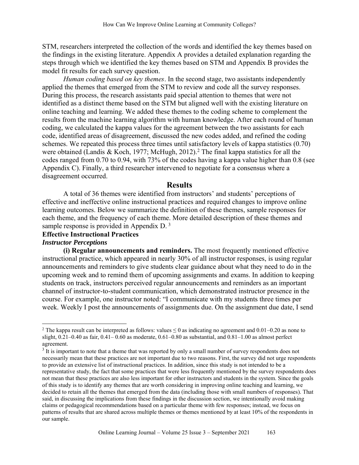STM, researchers interpreted the collection of the words and identified the key themes based on the findings in the existing literature. Appendix A provides a detailed explanation regarding the steps through which we identified the key themes based on STM and Appendix B provides the model fit results for each survey question.

*Human coding based on key themes*. In the second stage, two assistants independently applied the themes that emerged from the STM to review and code all the survey responses. During this process, the research assistants paid special attention to themes that were not identified as a distinct theme based on the STM but aligned well with the existing literature on online teaching and learning. We added these themes to the coding scheme to complement the results from the machine learning algorithm with human knowledge. After each round of human coding, we calculated the kappa values for the agreement between the two assistants for each code, identified areas of disagreement, discussed the new codes added, and refined the coding schemes. We repeated this process three times until satisfactory levels of kappa statistics (0.70) were obtained (Landis & Koch, 1977; McHugh, 2012).<sup>2</sup> The final kappa statistics for all the codes ranged from 0.70 to 0.94, with 73% of the codes having a kappa value higher than 0.8 (see Appendix C). Finally, a third researcher intervened to negotiate for a consensus where a disagreement occurred.

#### **Results**

A total of 36 themes were identified from instructors' and students' perceptions of effective and ineffective online instructional practices and required changes to improve online learning outcomes. Below we summarize the definition of these themes, sample responses for each theme, and the frequency of each theme. More detailed description of these themes and sample response is provided in Appendix D.<sup>3</sup>

#### **Effective Instructional Practices**

#### *Instructor Perceptions*

**(i) Regular announcements and reminders.** The most frequently mentioned effective instructional practice, which appeared in nearly 30% of all instructor responses, is using regular announcements and reminders to give students clear guidance about what they need to do in the upcoming week and to remind them of upcoming assignments and exams. In addition to keeping students on track, instructors perceived regular announcements and reminders as an important channel of instructor-to-student communication, which demonstrated instructor presence in the course. For example, one instructor noted: "I communicate with my students three times per week. Weekly I post the announcements of assignments due. On the assignment due date, I send

<sup>&</sup>lt;sup>2</sup> The kappa result can be interpreted as follows: values  $\leq$  0 as indicating no agreement and 0.01–0.20 as none to slight, 0.21–0.40 as fair, 0.41– 0.60 as moderate, 0.61–0.80 as substantial, and 0.81–1.00 as almost perfect agreement.

 $3$  It is important to note that a theme that was reported by only a small number of survey respondents does not necessarily mean that these practices are not important due to two reasons. First, the survey did not urge respondents to provide an extensive list of instructional practices. In addition, since this study is not intended to be a representative study, the fact that some practices that were less frequently mentioned by the survey respondents does not mean that these practices are also less important for other instructors and students in the system. Since the goals of this study is to identify any themes that are worth considering in improving online teaching and learning, we decided to retain all the themes that emerged from the data (including those with small numbers of responses). That said, in discussing the implications from these findings in the discussion section, we intentionally avoid making claims or pedagogical recommendations based on a particular theme with few responses; instead, we focus on patterns of results that are shared across multiple themes or themes mentioned by at least 10% of the respondents in our sample.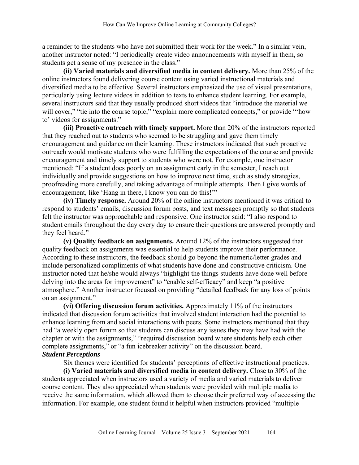a reminder to the students who have not submitted their work for the week." In a similar vein, another instructor noted: "I periodically create video announcements with myself in them, so students get a sense of my presence in the class."

**(ii) Varied materials and diversified media in content delivery.** More than 25% of the online instructors found delivering course content using varied instructional materials and diversified media to be effective. Several instructors emphasized the use of visual presentations, particularly using lecture videos in addition to texts to enhance student learning. For example, several instructors said that they usually produced short videos that "introduce the material we will cover," "tie into the course topic," "explain more complicated concepts," or provide "'how to' videos for assignments."

**(iii) Proactive outreach with timely support.** More than 20% of the instructors reported that they reached out to students who seemed to be struggling and gave them timely encouragement and guidance on their learning. These instructors indicated that such proactive outreach would motivate students who were fulfilling the expectations of the course and provide encouragement and timely support to students who were not. For example, one instructor mentioned: "If a student does poorly on an assignment early in the semester, I reach out individually and provide suggestions on how to improve next time, such as study strategies, proofreading more carefully, and taking advantage of multiple attempts. Then I give words of encouragement, like 'Hang in there, I know you can do this!'"

**(iv) Timely response.** Around 20% of the online instructors mentioned it was critical to respond to students' emails, discussion forum posts, and text messages promptly so that students felt the instructor was approachable and responsive. One instructor said: "I also respond to student emails throughout the day every day to ensure their questions are answered promptly and they feel heard."

**(v) Quality feedback on assignments.** Around 12% of the instructors suggested that quality feedback on assignments was essential to help students improve their performance. According to these instructors, the feedback should go beyond the numeric/letter grades and include personalized compliments of what students have done and constructive criticism. One instructor noted that he/she would always "highlight the things students have done well before delving into the areas for improvement" to "enable self-efficacy" and keep "a positive atmosphere." Another instructor focused on providing "detailed feedback for any loss of points on an assignment."

**(vi) Offering discussion forum activities.** Approximately 11% of the instructors indicated that discussion forum activities that involved student interaction had the potential to enhance learning from and social interactions with peers. Some instructors mentioned that they had "a weekly open forum so that students can discuss any issues they may have had with the chapter or with the assignments," "required discussion board where students help each other complete assignments," or "a fun icebreaker activity" on the discussion board. *Student Perceptions* 

Six themes were identified for students' perceptions of effective instructional practices.

**(i) Varied materials and diversified media in content delivery.** Close to 30% of the students appreciated when instructors used a variety of media and varied materials to deliver course content. They also appreciated when students were provided with multiple media to receive the same information, which allowed them to choose their preferred way of accessing the information. For example, one student found it helpful when instructors provided "multiple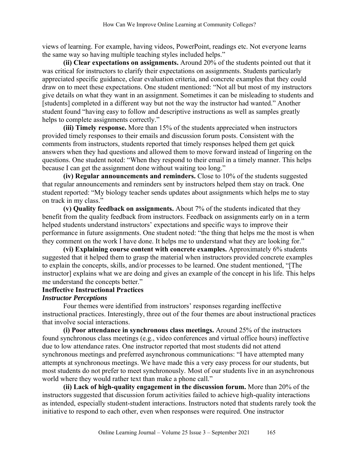views of learning. For example, having videos, PowerPoint, readings etc. Not everyone learns the same way so having multiple teaching styles included helps."

**(ii) Clear expectations on assignments.** Around 20% of the students pointed out that it was critical for instructors to clarify their expectations on assignments. Students particularly appreciated specific guidance, clear evaluation criteria, and concrete examples that they could draw on to meet these expectations. One student mentioned: "Not all but most of my instructors give details on what they want in an assignment. Sometimes it can be misleading to students and [students] completed in a different way but not the way the instructor had wanted." Another student found "having easy to follow and descriptive instructions as well as samples greatly helps to complete assignments correctly."

**(iii) Timely response.** More than 15% of the students appreciated when instructors provided timely responses to their emails and discussion forum posts. Consistent with the comments from instructors, students reported that timely responses helped them get quick answers when they had questions and allowed them to move forward instead of lingering on the questions. One student noted: "When they respond to their email in a timely manner. This helps because I can get the assignment done without waiting too long."

**(iv) Regular announcements and reminders.** Close to 10% of the students suggested that regular announcements and reminders sent by instructors helped them stay on track. One student reported: "My biology teacher sends updates about assignments which helps me to stay on track in my class."

**(v) Quality feedback on assignments.** About 7% of the students indicated that they benefit from the quality feedback from instructors. Feedback on assignments early on in a term helped students understand instructors' expectations and specific ways to improve their performance in future assignments. One student noted: "the thing that helps me the most is when they comment on the work I have done. It helps me to understand what they are looking for."

**(vi) Explaining course content with concrete examples.** Approximately 6% students suggested that it helped them to grasp the material when instructors provided concrete examples to explain the concepts, skills, and/or processes to be learned. One student mentioned, "[The instructor] explains what we are doing and gives an example of the concept in his life. This helps me understand the concepts better."

### **Ineffective Instructional Practices**

#### *Instructor Perceptions*

Four themes were identified from instructors' responses regarding ineffective instructional practices. Interestingly, three out of the four themes are about instructional practices that involve social interactions.

**(i) Poor attendance in synchronous class meetings.** Around 25% of the instructors found synchronous class meetings (e.g., video conferences and virtual office hours) ineffective due to low attendance rates. One instructor reported that most students did not attend synchronous meetings and preferred asynchronous communications: "I have attempted many attempts at synchronous meetings. We have made this a very easy process for our students, but most students do not prefer to meet synchronously. Most of our students live in an asynchronous world where they would rather text than make a phone call."

**(ii) Lack of high-quality engagement in the discussion forum.** More than 20% of the instructors suggested that discussion forum activities failed to achieve high-quality interactions as intended, especially student-student interactions. Instructors noted that students rarely took the initiative to respond to each other, even when responses were required. One instructor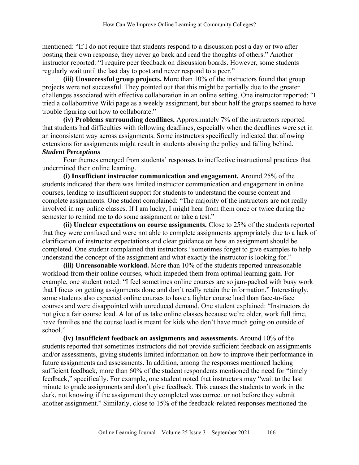mentioned: "If I do not require that students respond to a discussion post a day or two after posting their own response, they never go back and read the thoughts of others." Another instructor reported: "I require peer feedback on discussion boards. However, some students regularly wait until the last day to post and never respond to a peer."

**(iii) Unsuccessful group projects.** More than 10% of the instructors found that group projects were not successful. They pointed out that this might be partially due to the greater challenges associated with effective collaboration in an online setting. One instructor reported: "I tried a collaborative Wiki page as a weekly assignment, but about half the groups seemed to have trouble figuring out how to collaborate."

**(iv) Problems surrounding deadlines.** Approximately 7% of the instructors reported that students had difficulties with following deadlines, especially when the deadlines were set in an inconsistent way across assignments. Some instructors specifically indicated that allowing extensions for assignments might result in students abusing the policy and falling behind. *Student Perceptions*

Four themes emerged from students' responses to ineffective instructional practices that undermined their online learning.

**(i) Insufficient instructor communication and engagement.** Around 25% of the students indicated that there was limited instructor communication and engagement in online courses, leading to insufficient support for students to understand the course content and complete assignments. One student complained: "The majority of the instructors are not really involved in my online classes. If I am lucky, I might hear from them once or twice during the semester to remind me to do some assignment or take a test."

**(ii) Unclear expectations on course assignments.** Close to 25% of the students reported that they were confused and were not able to complete assignments appropriately due to a lack of clarification of instructor expectations and clear guidance on how an assignment should be completed. One student complained that instructors "sometimes forget to give examples to help understand the concept of the assignment and what exactly the instructor is looking for."

**(iii) Unreasonable workload.** More than 10% of the students reported unreasonable workload from their online courses, which impeded them from optimal learning gain. For example, one student noted: "I feel sometimes online courses are so jam-packed with busy work that I focus on getting assignments done and don't really retain the information." Interestingly, some students also expected online courses to have a lighter course load than face-to-face courses and were disappointed with unreduced demand. One student explained: "Instructors do not give a fair course load. A lot of us take online classes because we're older, work full time, have families and the course load is meant for kids who don't have much going on outside of school."

**(iv) Insufficient feedback on assignments and assessments.** Around 10% of the students reported that sometimes instructors did not provide sufficient feedback on assignments and/or assessments, giving students limited information on how to improve their performance in future assignments and assessments. In addition, among the responses mentioned lacking sufficient feedback, more than 60% of the student respondents mentioned the need for "timely feedback," specifically. For example, one student noted that instructors may "wait to the last minute to grade assignments and don't give feedback. This causes the students to work in the dark, not knowing if the assignment they completed was correct or not before they submit another assignment." Similarly, close to 15% of the feedback-related responses mentioned the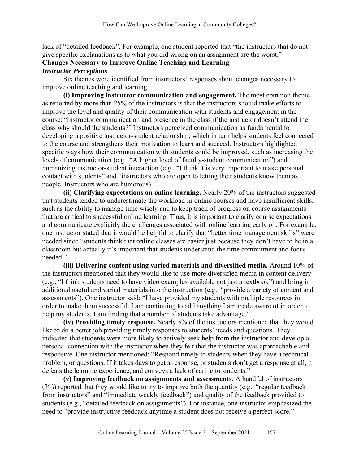lack of "detailed feedback". For example, one student reported that "the instructors that do not give specific explanations as to what you did wrong on an assignment are the worst."

#### **Changes Necessary to Improve Online Teaching and Learning** *Instructor Perceptions*

Six themes were identified from instructors' responses about changes necessary to improve online teaching and learning.

**(i) Improving instructor communication and engagement.** The most common theme as reported by more than 25% of the instructors is that the instructors should make efforts to improve the level and quality of their communication with students and engagement in the course: "Instructor communication and presence in the class if the instructor doesn't attend the class why should the students?" Instructors perceived communication as fundamental to developing a positive instructor-student relationship, which in turn helps students feel connected to the course and strengthens their motivation to learn and succeed. Instructors highlighted specific ways how their communication with students could be improved, such as increasing the levels of communication (e.g., "A higher level of faculty-student communication") and humanizing instructor-student interaction (e.g., "I think it is very important to make personal contact with students" and "instructors who are open to letting their students know them as people. Instructors who are humorous).

**(ii) Clarifying expectations on online learning.** Nearly 20% of the instructors suggested that students tended to underestimate the workload in online courses and have insufficient skills, such as the ability to manage time wisely and to keep track of progress on course assignments that are critical to successful online learning. Thus, it is important to clarify course expectations and communicate explicitly the challenges associated with online learning early on. For example, one instructor stated that it would be helpful to clarify that "better time management skills" were needed since "students think that online classes are easier just because they don't have to be in a classroom but actually it's important that students understand the time commitment and focus needed."

**(iii) Delivering content using varied materials and diversified media.** Around 10% of the instructors mentioned that they would like to use more diversified media in content delivery (e.g., "I think students need to have video examples available not just a textbook") and bring in additional useful and varied materials into the instruction (e.g., "provide a variety of content and assessments"). One instructor said: "I have provided my students with multiple resources in order to make them successful. I am continuing to add anything I am made aware of in order to help my students. I am finding that a number of students take advantage."

**(iv) Providing timely response.** Nearly 5% of the instructors mentioned that they would like to do a better job providing timely responses to students' needs and questions. They indicated that students were more likely to actively seek help from the instructor and develop a personal connection with the instructor when they felt that the instructor was approachable and responsive. One instructor mentioned: "Respond timely to students when they have a technical problem, or questions. If it takes days to get a response, or students don't get a response at all, it defeats the learning experience, and conveys a lack of caring to students."

**(v) Improving feedback on assignments and assessments.** A handful of instructors (3%) reported that they would like to try to improve both the quantity (e.g., "regular feedback from instructors" and "immediate weekly feedback") and quality of the feedback provided to students (e.g., "detailed feedback on assignments"). For instance, one instructor emphasized the need to "provide instructive feedback anytime a student does not receive a perfect score."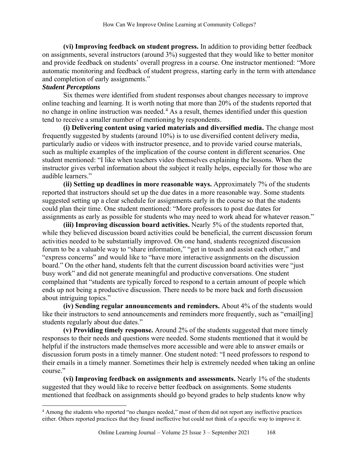**(vi) Improving feedback on student progress.** In addition to providing better feedback on assignments, several instructors (around 3%) suggested that they would like to better monitor and provide feedback on students' overall progress in a course. One instructor mentioned: "More automatic monitoring and feedback of student progress, starting early in the term with attendance and completion of early assignments."

### *Student Perceptions*

Six themes were identified from student responses about changes necessary to improve online teaching and learning. It is worth noting that more than 20% of the students reported that no change in online instruction was needed. <sup>4</sup> As a result, themes identified under this question tend to receive a smaller number of mentioning by respondents.

**(i) Delivering content using varied materials and diversified media.** The change most frequently suggested by students (around 10%) is to use diversified content delivery media, particularly audio or videos with instructor presence, and to provide varied course materials, such as multiple examples of the implication of the course content in different scenarios. One student mentioned: "I like when teachers video themselves explaining the lessons. When the instructor gives verbal information about the subject it really helps, especially for those who are audible learners."

**(ii) Setting up deadlines in more reasonable ways.** Approximately 7% of the students reported that instructors should set up the due dates in a more reasonable way. Some students suggested setting up a clear schedule for assignments early in the course so that the students could plan their time. One student mentioned: "More professors to post due dates for assignments as early as possible for students who may need to work ahead for whatever reason."

**(iii) Improving discussion board activities.** Nearly 5% of the students reported that, while they believed discussion board activities could be beneficial, the current discussion forum activities needed to be substantially improved. On one hand, students recognized discussion forum to be a valuable way to "share information," "get in touch and assist each other," and "express concerns" and would like to "have more interactive assignments on the discussion board." On the other hand, students felt that the current discussion board activities were "just busy work" and did not generate meaningful and productive conversations. One student complained that "students are typically forced to respond to a certain amount of people which ends up not being a productive discussion. There needs to be more back and forth discussion about intriguing topics."

**(iv) Sending regular announcements and reminders.** About 4% of the students would like their instructors to send announcements and reminders more frequently, such as "email[ing] students regularly about due dates."

**(v) Providing timely response.** Around 2% of the students suggested that more timely responses to their needs and questions were needed. Some students mentioned that it would be helpful if the instructors made themselves more accessible and were able to answer emails or discussion forum posts in a timely manner. One student noted: "I need professors to respond to their emails in a timely manner. Sometimes their help is extremely needed when taking an online course."

**(vi) Improving feedback on assignments and assessments.** Nearly 1% of the students suggested that they would like to receive better feedback on assignments. Some students mentioned that feedback on assignments should go beyond grades to help students know why

<sup>4</sup> Among the students who reported "no changes needed," most of them did not report any ineffective practices either. Others reported practices that they found ineffective but could not think of a specific way to improve it.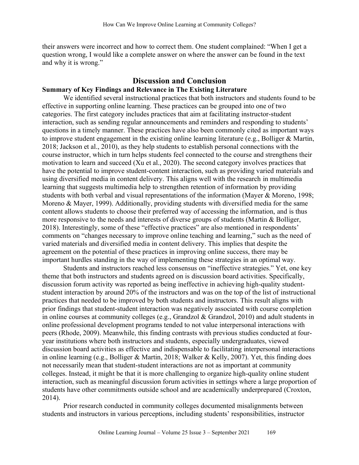their answers were incorrect and how to correct them. One student complained: "When I get a question wrong, I would like a complete answer on where the answer can be found in the text and why it is wrong."

#### **Discussion and Conclusion**

#### **Summary of Key Findings and Relevance in The Existing Literature**

We identified several instructional practices that both instructors and students found to be effective in supporting online learning. These practices can be grouped into one of two categories. The first category includes practices that aim at facilitating instructor-student interaction, such as sending regular announcements and reminders and responding to students' questions in a timely manner. These practices have also been commonly cited as important ways to improve student engagement in the existing online learning literature (e.g., Bolliger & Martin, 2018; Jackson et al., 2010), as they help students to establish personal connections with the course instructor, which in turn helps students feel connected to the course and strengthens their motivation to learn and succeed (Xu et al., 2020). The second category involves practices that have the potential to improve student-content interaction, such as providing varied materials and using diversified media in content delivery. This aligns well with the research in multimedia learning that suggests multimedia help to strengthen retention of information by providing students with both verbal and visual representations of the information (Mayer & Moreno, 1998; Moreno & Mayer, 1999). Additionally, providing students with diversified media for the same content allows students to choose their preferred way of accessing the information, and is thus more responsive to the needs and interests of diverse groups of students (Martin & Bolliger, 2018). Interestingly, some of these "effective practices" are also mentioned in respondents' comments on "changes necessary to improve online teaching and learning," such as the need of varied materials and diversified media in content delivery. This implies that despite the agreement on the potential of these practices in improving online success, there may be important hurdles standing in the way of implementing these strategies in an optimal way.

Students and instructors reached less consensus on "ineffective strategies." Yet, one key theme that both instructors and students agreed on is discussion board activities. Specifically, discussion forum activity was reported as being ineffective in achieving high-quality studentstudent interaction by around 20% of the instructors and was on the top of the list of instructional practices that needed to be improved by both students and instructors. This result aligns with prior findings that student-student interaction was negatively associated with course completion in online courses at community colleges (e.g., Grandzol & Grandzol, 2010) and adult students in online professional development programs tended to not value interpersonal interactions with peers (Rhode, 2009). Meanwhile, this finding contrasts with previous studies conducted at fouryear institutions where both instructors and students, especially undergraduates, viewed discussion board activities as effective and indispensable to facilitating interpersonal interactions in online learning (e.g., Bolliger & Martin, 2018; Walker & Kelly, 2007). Yet, this finding does not necessarily mean that student-student interactions are not as important at community colleges. Instead, it might be that it is more challenging to organize high-quality online student interaction, such as meaningful discussion forum activities in settings where a large proportion of students have other commitments outside school and are academically underprepared (Croxton, 2014).

Prior research conducted in community colleges documented misalignments between students and instructors in various perceptions, including students' responsibilities, instructor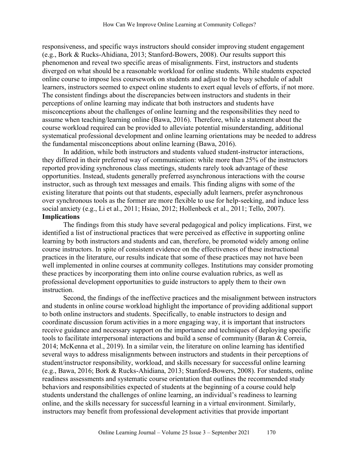responsiveness, and specific ways instructors should consider improving student engagement (e.g., Bork & Rucks-Ahidiana, 2013; Stanford-Bowers, 2008). Our results support this phenomenon and reveal two specific areas of misalignments. First, instructors and students diverged on what should be a reasonable workload for online students. While students expected online course to impose less coursework on students and adjust to the busy schedule of adult learners, instructors seemed to expect online students to exert equal levels of efforts, if not more. The consistent findings about the discrepancies between instructors and students in their perceptions of online learning may indicate that both instructors and students have misconceptions about the challenges of online learning and the responsibilities they need to assume when teaching/learning online (Bawa, 2016). Therefore, while a statement about the course workload required can be provided to alleviate potential misunderstanding, additional systematical professional development and online learning orientations may be needed to address the fundamental misconceptions about online learning (Bawa, 2016).

In addition, while both instructors and students valued student-instructor interactions, they differed in their preferred way of communication: while more than 25% of the instructors reported providing synchronous class meetings, students rarely took advantage of these opportunities. Instead, students generally preferred asynchronous interactions with the course instructor, such as through text messages and emails. This finding aligns with some of the existing literature that points out that students, especially adult learners, prefer asynchronous over synchronous tools as the former are more flexible to use for help-seeking, and induce less social anxiety (e.g., Li et al., 2011; Hsiao, 2012; Hollenbeck et al., 2011; Tello, 2007). **Implications**

The findings from this study have several pedagogical and policy implications. First, we identified a list of instructional practices that were perceived as effective in supporting online learning by both instructors and students and can, therefore, be promoted widely among online course instructors. In spite of consistent evidence on the effectiveness of these instructional practices in the literature, our results indicate that some of these practices may not have been well implemented in online courses at community colleges. Institutions may consider promoting these practices by incorporating them into online course evaluation rubrics, as well as professional development opportunities to guide instructors to apply them to their own instruction.

Second, the findings of the ineffective practices and the misalignment between instructors and students in online course workload highlight the importance of providing additional support to both online instructors and students. Specifically, to enable instructors to design and coordinate discussion forum activities in a more engaging way, it is important that instructors receive guidance and necessary support on the importance and techniques of deploying specific tools to facilitate interpersonal interactions and build a sense of community (Baran & Correia, 2014; McKenna et al., 2019). In a similar vein, the literature on online learning has identified several ways to address misalignments between instructors and students in their perceptions of student/instructor responsibility, workload, and skills necessary for successful online learning (e.g., Bawa, 2016; Bork & Rucks-Ahidiana, 2013; Stanford-Bowers, 2008). For students, online readiness assessments and systematic course orientation that outlines the recommended study behaviors and responsibilities expected of students at the beginning of a course could help students understand the challenges of online learning, an individual's readiness to learning online, and the skills necessary for successful learning in a virtual environment. Similarly, instructors may benefit from professional development activities that provide important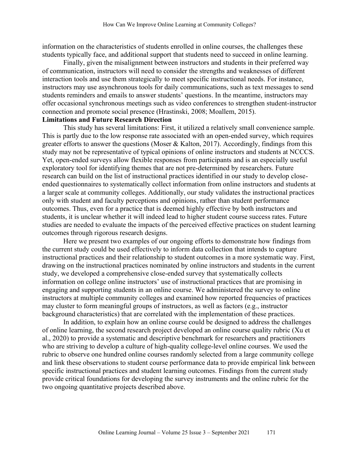information on the characteristics of students enrolled in online courses, the challenges these students typically face, and additional support that students need to succeed in online learning.

Finally, given the misalignment between instructors and students in their preferred way of communication, instructors will need to consider the strengths and weaknesses of different interaction tools and use them strategically to meet specific instructional needs. For instance, instructors may use asynchronous tools for daily communications, such as text messages to send students reminders and emails to answer students' questions. In the meantime, instructors may offer occasional synchronous meetings such as video conferences to strengthen student-instructor connection and promote social presence (Hrastinski, 2008; Moallem, 2015).

#### **Limitations and Future Research Direction**

This study has several limitations: First, it utilized a relatively small convenience sample. This is partly due to the low response rate associated with an open-ended survey, which requires greater efforts to answer the questions (Moser & Kalton, 2017). Accordingly, findings from this study may not be representative of typical opinions of online instructors and students at NCCCS. Yet, open-ended surveys allow flexible responses from participants and is an especially useful exploratory tool for identifying themes that are not pre-determined by researchers. Future research can build on the list of instructional practices identified in our study to develop closeended questionnaires to systematically collect information from online instructors and students at a larger scale at community colleges. Additionally, our study validates the instructional practices only with student and faculty perceptions and opinions, rather than student performance outcomes. Thus, even for a practice that is deemed highly effective by both instructors and students, it is unclear whether it will indeed lead to higher student course success rates. Future studies are needed to evaluate the impacts of the perceived effective practices on student learning outcomes through rigorous research designs.

Here we present two examples of our ongoing efforts to demonstrate how findings from the current study could be used effectively to inform data collection that intends to capture instructional practices and their relationship to student outcomes in a more systematic way. First, drawing on the instructional practices nominated by online instructors and students in the current study, we developed a comprehensive close-ended survey that systematically collects information on college online instructors' use of instructional practices that are promising in engaging and supporting students in an online course. We administered the survey to online instructors at multiple community colleges and examined how reported frequencies of practices may cluster to form meaningful groups of instructors, as well as factors (e.g., instructor background characteristics) that are correlated with the implementation of these practices.

In addition, to explain how an online course could be designed to address the challenges of online learning, the second research project developed an online course quality rubric (Xu et al., 2020) to provide a systematic and descriptive benchmark for researchers and practitioners who are striving to develop a culture of high-quality college-level online courses. We used the rubric to observe one hundred online courses randomly selected from a large community college and link these observations to student course performance data to provide empirical link between specific instructional practices and student learning outcomes. Findings from the current study provide critical foundations for developing the survey instruments and the online rubric for the two ongoing quantitative projects described above.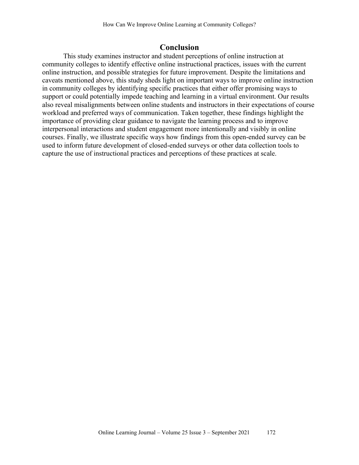## **Conclusion**

This study examines instructor and student perceptions of online instruction at community colleges to identify effective online instructional practices, issues with the current online instruction, and possible strategies for future improvement. Despite the limitations and caveats mentioned above, this study sheds light on important ways to improve online instruction in community colleges by identifying specific practices that either offer promising ways to support or could potentially impede teaching and learning in a virtual environment. Our results also reveal misalignments between online students and instructors in their expectations of course workload and preferred ways of communication. Taken together, these findings highlight the importance of providing clear guidance to navigate the learning process and to improve interpersonal interactions and student engagement more intentionally and visibly in online courses. Finally, we illustrate specific ways how findings from this open-ended survey can be used to inform future development of closed-ended surveys or other data collection tools to capture the use of instructional practices and perceptions of these practices at scale.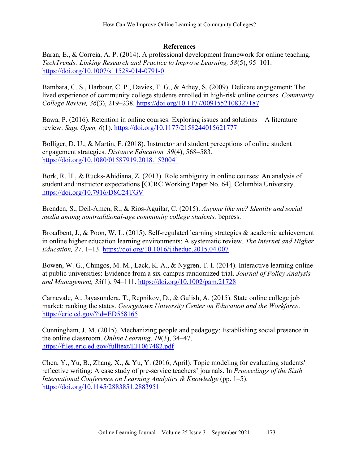### **References**

Baran, E., & Correia, A. P. (2014). A professional development framework for online teaching. *TechTrends: Linking Research and Practice to Improve Learning, 58*(5), 95–101. <https://doi.org/10.1007/s11528-014-0791-0>

Bambara, C. S., Harbour, C. P., Davies, T. G., & Athey, S. (2009). Delicate engagement: The lived experience of community college students enrolled in high-risk online courses. *Community College Review, 36*(3), 219–238.<https://doi.org/10.1177/0091552108327187>

Bawa, P. (2016). Retention in online courses: Exploring issues and solutions—A literature review. *Sage Open, 6*(1).<https://doi.org/10.1177/2158244015621777>

Bolliger, D. U., & Martin, F. (2018). Instructor and student perceptions of online student engagement strategies. *Distance Education, 39*(4), 568–583. <https://doi.org/10.1080/01587919.2018.1520041>

Bork, R. H., & Rucks-Ahidiana, Z. (2013). Role ambiguity in online courses: An analysis of student and instructor expectations [CCRC Working Paper No. 64]. Columbia University. <https://doi.org/10.7916/D8C24TGV>

Brenden, S., Deil-Amen, R., & Rios-Aguilar, C. (2015). *Anyone like me? Identity and social media among nontraditional-age community college students.* bepress.

Broadbent, J., & Poon, W. L. (2015). Self-regulated learning strategies & academic achievement in online higher education learning environments: A systematic review. *The Internet and Higher Education, 27*, 1–13.<https://doi.org/10.1016/j.iheduc.2015.04.007>

Bowen, W. G., Chingos, M. M., Lack, K. A., & Nygren, T. I. (2014). Interactive learning online at public universities: Evidence from a six‐campus randomized trial. *Journal of Policy Analysis and Management, 33*(1), 94–111.<https://doi.org/10.1002/pam.21728>

Carnevale, A., Jayasundera, T., Repnikov, D., & Gulish, A. (2015). State online college job market: ranking the states. *Georgetown University Center on Education and the Workforce*. <https://eric.ed.gov/?id=ED558165>

Cunningham, J. M. (2015). Mechanizing people and pedagogy: Establishing social presence in the online classroom. *Online Learning*, *19*(3), 34–47. <https://files.eric.ed.gov/fulltext/EJ1067482.pdf>

Chen, Y., Yu, B., Zhang, X., & Yu, Y. (2016, April). Topic modeling for evaluating students' reflective writing: A case study of pre-service teachers' journals. In *Proceedings of the Sixth International Conference on Learning Analytics & Knowledge* (pp. 1–5). <https://doi.org/10.1145/2883851.2883951>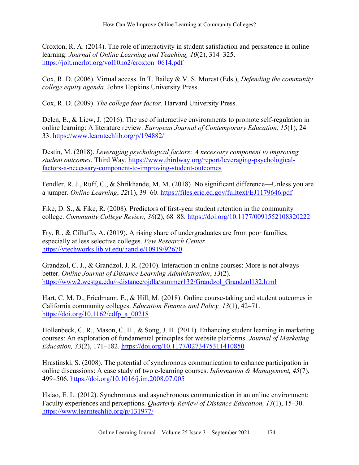Croxton, R. A. (2014). The role of interactivity in student satisfaction and persistence in online learning. *Journal of Online Learning and Teaching, 10*(2), 314–325. [https://jolt.merlot.org/vol10no2/croxton\\_0614.pdf](https://jolt.merlot.org/vol10no2/croxton_0614.pdf)

Cox, R. D. (2006). Virtual access. In T. Bailey & V. S. Morest (Eds.), *Defending the community college equity agenda.* Johns Hopkins University Press.

Cox, R. D. (2009). *The college fear factor.* Harvard University Press.

Delen, E., & Liew, J. (2016). The use of interactive environments to promote self-regulation in online learning: A literature review. *European Journal of Contemporary Education, 15*(1), 24– 33. <https://www.learntechlib.org/p/194882/>

Destin, M. (2018). *Leveraging psychological factors: A necessary component to improving student outcomes*. Third Way. [https://www.thirdway.org/report/leveraging-psychological](https://www.thirdway.org/report/leveraging-psychological-factors-a-necessary-component-to-improving-student-outcomes)[factors-a-necessary-component-to-improving-student-outcomes](https://www.thirdway.org/report/leveraging-psychological-factors-a-necessary-component-to-improving-student-outcomes)

Fendler, R. J., Ruff, C., & Shrikhande, M. M. (2018). No significant difference—Unless you are a jumper. *Online Learning*, *22*(1), 39–60. <https://files.eric.ed.gov/fulltext/EJ1179646.pdf>

Fike, D. S., & Fike, R. (2008). Predictors of first-year student retention in the community college. *Community College Review, 36*(2), 68–88.<https://doi.org/10.1177/0091552108320222>

Fry, R., & Cilluffo, A. (2019). A rising share of undergraduates are from poor families, especially at less selective colleges. *Pew Research Center*. <https://vtechworks.lib.vt.edu/handle/10919/92670>

Grandzol, C. J., & Grandzol, J. R. (2010). Interaction in online courses: More is not always better. *Online Journal of Distance Learning Administration*, *13*(2). [https://www2.westga.edu/~distance/ojdla/summer132/Grandzol\\_Grandzol132.html](https://www2.westga.edu/~distance/ojdla/summer132/Grandzol_Grandzol132.html)

Hart, C. M. D., Friedmann, E., & Hill, M. (2018). Online course-taking and student outcomes in California community colleges. *Education Finance and Policy, 13*(1), 42–71. [https://doi.org/10.1162/edfp\\_a\\_00218](https://doi.org/10.1162/edfp_a_00218)

Hollenbeck, C. R., Mason, C. H., & Song, J. H. (2011). Enhancing student learning in marketing courses: An exploration of fundamental principles for website platforms*. Journal of Marketing Education, 33*(2), 171–182.<https://doi.org/10.1177/0273475311410850>

Hrastinski, S. (2008). The potential of synchronous communication to enhance participation in online discussions: A case study of two e-learning courses. *Information & Management, 45*(7), 499–506.<https://doi.org/10.1016/j.im.2008.07.005>

Hsiao, E. L. (2012). Synchronous and asynchronous communication in an online environment: Faculty experiences and perceptions. *Quarterly Review of Distance Education, 13*(1), 15–30. <https://www.learntechlib.org/p/131977/>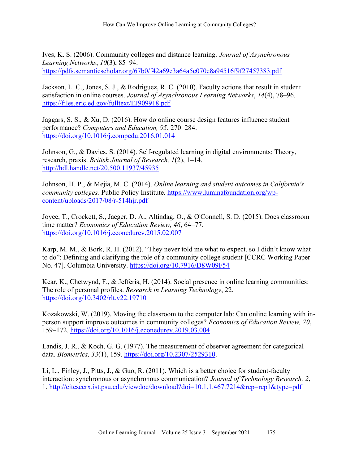Ives, K. S. (2006). Community colleges and distance learning. *Journal of Asynchronous Learning Networks*, *10*(3), 85–94. <https://pdfs.semanticscholar.org/67b0/f42a69e3a64a5c070e8a94516f9f27457383.pdf>

Jackson, L. C., Jones, S. J., & Rodriguez, R. C. (2010). Faculty actions that result in student satisfaction in online courses. *Journal of Asynchronous Learning Networks*, *14*(4), 78–96. <https://files.eric.ed.gov/fulltext/EJ909918.pdf>

Jaggars, S. S., & Xu, D. (2016). How do online course design features influence student performance? *Computers and Education, 95*, 270–284. <https://doi.org/10.1016/j.compedu.2016.01.014>

Johnson, G., & Davies, S. (2014). Self-regulated learning in digital environments: Theory, research, praxis. *British Journal of Research, 1*(2), 1–14. <http://hdl.handle.net/20.500.11937/45935>

Johnson, H. P., & Mejia, M. C. (2014). *Online learning and student outcomes in California's community colleges.* Public Policy Institute. [https://www.luminafoundation.org/wp](https://www.luminafoundation.org/wp-content/uploads/2017/08/r-514hjr.pdf)[content/uploads/2017/08/r-514hjr.pdf](https://www.luminafoundation.org/wp-content/uploads/2017/08/r-514hjr.pdf)

Joyce, T., Crockett, S., Jaeger, D. A., Altindag, O., & O'Connell, S. D. (2015). Does classroom time matter? *Economics of Education Review, 46*, 64–77. <https://doi.org/10.1016/j.econedurev.2015.02.007>

Karp, M. M., & Bork, R. H. (2012). "They never told me what to expect, so I didn't know what to do": Defining and clarifying the role of a community college student [CCRC Working Paper No. 47]. Columbia University.<https://doi.org/10.7916/D8W09F54>

Kear, K., Chetwynd, F., & Jefferis, H. (2014). Social presence in online learning communities: The role of personal profiles. *Research in Learning Technology*, 22. <https://doi.org/10.3402/rlt.v22.19710>

Kozakowski, W. (2019). Moving the classroom to the computer lab: Can online learning with inperson support improve outcomes in community colleges? *Economics of Education Review, 70*, 159–172.<https://doi.org/10.1016/j.econedurev.2019.03.004>

Landis, J. R., & Koch, G. G. (1977). The measurement of observer agreement for categorical data. *Biometrics, 33*(1), 159. [https://doi.org/10.2307/2529310.](https://doi.org/10.2307/2529310)

Li, L., Finley, J., Pitts, J., & Guo, R. (2011). Which is a better choice for student-faculty interaction: synchronous or asynchronous communication? *Journal of Technology Research, 2*, 1.<http://citeseerx.ist.psu.edu/viewdoc/download?doi=10.1.1.467.7214&rep=rep1&type=pdf>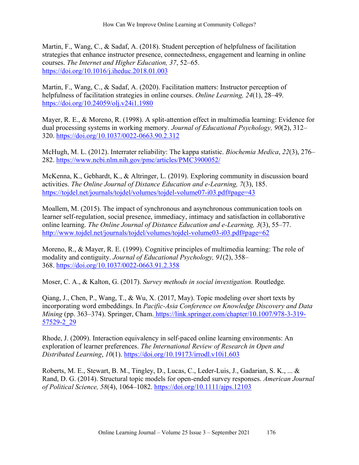Martin, F., Wang, C., & Sadaf, A. (2018). Student perception of helpfulness of facilitation strategies that enhance instructor presence, connectedness, engagement and learning in online courses. *The Internet and Higher Education, 37*, 52–65. <https://doi.org/10.1016/j.iheduc.2018.01.003>

Martin, F., Wang, C., & Sadaf, A. (2020). Facilitation matters: Instructor perception of helpfulness of facilitation strategies in online courses. *Online Learning, 24*(1), 28–49. <https://doi.org/10.24059/olj.v24i1.1980>

Mayer, R. E., & Moreno, R. (1998). A split-attention effect in multimedia learning: Evidence for dual processing systems in working memory. *Journal of Educational Psychology, 90*(2), 312– 320. [https://doi.org/10.1037/0022-0663.90.2.312](https://psycnet.apa.org/doi/10.1037/0022-0663.90.2.312)

McHugh, M. L. (2012). Interrater reliability: The kappa statistic. *Biochemia Medica*, *22*(3), 276– 282.<https://www.ncbi.nlm.nih.gov/pmc/articles/PMC3900052/>

McKenna, K., Gebhardt, K., & Altringer, L. (2019). Exploring community in discussion board activities. *The Online Journal of Distance Education and e-Learning, 7*(3), 185. <https://tojdel.net/journals/tojdel/volumes/tojdel-volume07-i03.pdf#page=43>

Moallem, M. (2015). The impact of synchronous and asynchronous communication tools on learner self-regulation, social presence, immediacy, intimacy and satisfaction in collaborative online learning. *The Online Journal of Distance Education and e-Learning, 3*(3), 55–77. <http://www.tojdel.net/journals/tojdel/volumes/tojdel-volume03-i03.pdf#page=62>

Moreno, R., & Mayer, R. E. (1999). Cognitive principles of multimedia learning: The role of modality and contiguity. *Journal of Educational Psychology, 91*(2), 358– 368. [https://doi.org/10.1037/0022-0663.91.2.358](https://psycnet.apa.org/doi/10.1037/0022-0663.91.2.358)

Moser, C. A., & Kalton, G. (2017). *Survey methods in social investigation.* Routledge.

Qiang, J., Chen, P., Wang, T., & Wu, X. (2017, May). Topic modeling over short texts by incorporating word embeddings. In *Pacific-Asia Conference on Knowledge Discovery and Data Mining* (pp. 363–374). Springer, Cham. [https://link.springer.com/chapter/10.1007/978-3-319-](https://link.springer.com/chapter/10.1007/978-3-319-57529-2_29) [57529-2\\_29](https://link.springer.com/chapter/10.1007/978-3-319-57529-2_29)

Rhode, J. (2009). Interaction equivalency in self-paced online learning environments: An exploration of learner preferences. *The International Review of Research in Open and Distributed Learning*, *10*(1). <https://doi.org/10.19173/irrodl.v10i1.603>

Roberts, M. E., Stewart, B. M., Tingley, D., Lucas, C., Leder‐Luis, J., Gadarian, S. K., ... & Rand, D. G. (2014). Structural topic models for open‐ended survey responses. *American Journal of Political Science, 58*(4), 1064–1082.<https://doi.org/10.1111/ajps.12103>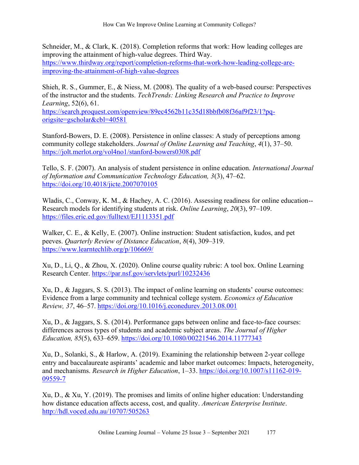Schneider, M., & Clark, K. (2018). Completion reforms that work: How leading colleges are improving the attainment of high-value degrees. Third Way. [https://www.thirdway.org/report/completion-reforms-that-work-how-leading-college-are](https://www.thirdway.org/report/completion-reforms-that-work-how-leading-college-are-improving-the-attainment-of-high-value-degrees)[improving-the-attainment-of-high-value-degrees](https://www.thirdway.org/report/completion-reforms-that-work-how-leading-college-are-improving-the-attainment-of-high-value-degrees)

Shieh, R. S., Gummer, E., & Niess, M. (2008). The quality of a web-based course: Perspectives of the instructor and the students. *TechTrends: Linking Research and Practice to Improve Learning*, 52(6), 61.

[https://search.proquest.com/openview/89ec4562b11c35d18bbfb08f36af9f23/1?pq](https://search.proquest.com/openview/89ec4562b11c35d18bbfb08f36af9f23/1?pq-origsite=gscholar&cbl=40581)[origsite=gscholar&cbl=40581](https://search.proquest.com/openview/89ec4562b11c35d18bbfb08f36af9f23/1?pq-origsite=gscholar&cbl=40581)

Stanford-Bowers, D. E. (2008). Persistence in online classes: A study of perceptions among community college stakeholders. *Journal of Online Learning and Teaching*, *4*(1), 37–50. <https://jolt.merlot.org/vol4no1/stanford-bowers0308.pdf>

Tello, S. F. (2007). An analysis of student persistence in online education. *International Journal of Information and Communication Technology Education, 3*(3), 47–62. <https://doi.org/10.4018/jicte.2007070105>

Wladis, C., Conway, K. M., & Hachey, A. C. (2016). Assessing readiness for online education--Research models for identifying students at risk. *Online Learning*, *20*(3), 97–109. <https://files.eric.ed.gov/fulltext/EJ1113351.pdf>

Walker, C. E., & Kelly, E. (2007). Online instruction: Student satisfaction, kudos, and pet peeves. *Quarterly Review of Distance Education*, *8*(4), 309–319. <https://www.learntechlib.org/p/106669/>

Xu, D., Li, Q., & Zhou, X. (2020). Online course quality rubric: A tool box. Online Learning Research Center.<https://par.nsf.gov/servlets/purl/10232436>

Xu, D., & Jaggars, S. S. (2013). The impact of online learning on students' course outcomes: Evidence from a large community and technical college system. *Economics of Education Review, 37*, 46–57.<https://doi.org/10.1016/j.econedurev.2013.08.001>

Xu, D., & Jaggars, S. S. (2014). Performance gaps between online and face-to-face courses: differences across types of students and academic subject areas. *The Journal of Higher Education, 85*(5), 633–659.<https://doi.org/10.1080/00221546.2014.11777343>

Xu, D., Solanki, S., & Harlow, A. (2019). Examining the relationship between 2-year college entry and baccalaureate aspirants' academic and labor market outcomes: Impacts, heterogeneity, and mechanisms. *Research in Higher Education*, 1–33. [https://doi.org/10.1007/s11162-019-](https://doi.org/10.1007/s11162-019-09559-7) [09559-7](https://doi.org/10.1007/s11162-019-09559-7)

Xu, D., & Xu, Y. (2019). The promises and limits of online higher education: Understanding how distance education affects access, cost, and quality. *American Enterprise Institute*. <http://hdl.voced.edu.au/10707/505263>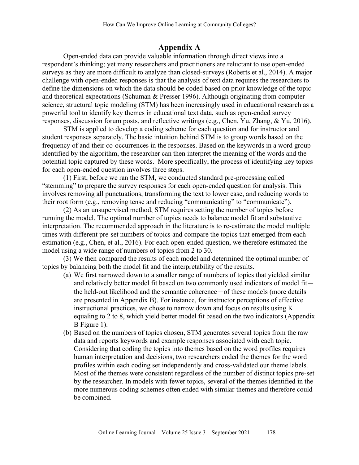# **Appendix A**

Open-ended data can provide valuable information through direct views into a respondent's thinking; yet many researchers and practitioners are reluctant to use open-ended surveys as they are more difficult to analyze than closed-surveys (Roberts et al., 2014). A major challenge with open-ended responses is that the analysis of text data requires the researchers to define the dimensions on which the data should be coded based on prior knowledge of the topic and theoretical expectations (Schuman & Presser 1996). Although originating from computer science, structural topic modeling (STM) has been increasingly used in educational research as a powerful tool to identify key themes in educational text data, such as open-ended survey responses, discussion forum posts, and reflective writings (e.g., Chen, Yu, Zhang, & Yu, 2016).

STM is applied to develop a coding scheme for each question and for instructor and student responses separately. The basic intuition behind STM is to group words based on the frequency of and their co-occurrences in the responses. Based on the keywords in a word group identified by the algorithm, the researcher can then interpret the meaning of the words and the potential topic captured by these words. More specifically, the process of identifying key topics for each open-ended question involves three steps.

(1) First, before we ran the STM, we conducted standard pre-processing called "stemming" to prepare the survey responses for each open-ended question for analysis. This involves removing all punctuations, transforming the text to lower case, and reducing words to their root form (e.g., removing tense and reducing "communicating" to "communicate").

(2) As an unsupervised method, STM requires setting the number of topics before running the model. The optimal number of topics needs to balance model fit and substantive interpretation. The recommended approach in the literature is to re-estimate the model multiple times with different pre-set numbers of topics and compare the topics that emerged from each estimation (e.g., Chen, et al., 2016). For each open-ended question, we therefore estimated the model using a wide range of numbers of topics from 2 to 30.

(3) We then compared the results of each model and determined the optimal number of topics by balancing both the model fit and the interpretability of the results.

- (a) We first narrowed down to a smaller range of numbers of topics that yielded similar and relatively better model fit based on two commonly used indicators of model fit the held-out likelihood and the semantic coherence—of these models (more details are presented in Appendix B). For instance, for instructor perceptions of effective instructional practices, we chose to narrow down and focus on results using K equaling to 2 to 8, which yield better model fit based on the two indicators (Appendix B Figure 1).
- (b) Based on the numbers of topics chosen, STM generates several topics from the raw data and reports keywords and example responses associated with each topic. Considering that coding the topics into themes based on the word profiles requires human interpretation and decisions, two researchers coded the themes for the word profiles within each coding set independently and cross-validated our theme labels. Most of the themes were consistent regardless of the number of distinct topics pre-set by the researcher. In models with fewer topics, several of the themes identified in the more numerous coding schemes often ended with similar themes and therefore could be combined.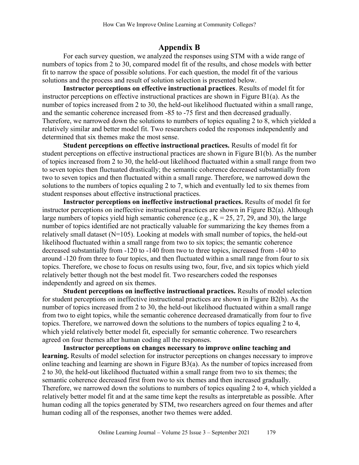# **Appendix B**

For each survey question, we analyzed the responses using STM with a wide range of numbers of topics from 2 to 30, compared model fit of the results, and chose models with better fit to narrow the space of possible solutions. For each question, the model fit of the various solutions and the process and result of solution selection is presented below.

**Instructor perceptions on effective instructional practices**. Results of model fit for instructor perceptions on effective instructional practices are shown in Figure  $B1(a)$ . As the number of topics increased from 2 to 30, the held-out likelihood fluctuated within a small range, and the semantic coherence increased from -85 to -75 first and then decreased gradually. Therefore, we narrowed down the solutions to numbers of topics equaling 2 to 8, which yielded a relatively similar and better model fit. Two researchers coded the responses independently and determined that six themes make the most sense.

**Student perceptions on effective instructional practices.** Results of model fit for student perceptions on effective instructional practices are shown in Figure B1(b). As the number of topics increased from 2 to 30, the held-out likelihood fluctuated within a small range from two to seven topics then fluctuated drastically; the semantic coherence decreased substantially from two to seven topics and then fluctuated within a small range. Therefore, we narrowed down the solutions to the numbers of topics equaling 2 to 7, which and eventually led to six themes from student responses about effective instructional practices.

**Instructor perceptions on ineffective instructional practices.** Results of model fit for instructor perceptions on ineffective instructional practices are shown in Figure B2(a). Although large numbers of topics yield high semantic coherence (e.g.,  $K = 25, 27, 29$ , and 30), the large number of topics identified are not practically valuable for summarizing the key themes from a relatively small dataset (N=105). Looking at models with small number of topics, the held-out likelihood fluctuated within a small range from two to six topics; the semantic coherence decreased substantially from -120 to -140 from two to three topics, increased from -140 to around -120 from three to four topics, and then fluctuated within a small range from four to six topics. Therefore, we chose to focus on results using two, four, five, and six topics which yield relatively better though not the best model fit. Two researchers coded the responses independently and agreed on six themes.

**Student perceptions on ineffective instructional practices.** Results of model selection for student perceptions on ineffective instructional practices are shown in Figure B2(b). As the number of topics increased from 2 to 30, the held-out likelihood fluctuated within a small range from two to eight topics, while the semantic coherence decreased dramatically from four to five topics. Therefore, we narrowed down the solutions to the numbers of topics equaling 2 to 4, which yield relatively better model fit, especially for semantic coherence. Two researchers agreed on four themes after human coding all the responses.

**Instructor perceptions on changes necessary to improve online teaching and learning.** Results of model selection for instructor perceptions on changes necessary to improve online teaching and learning are shown in Figure B3(a). As the number of topics increased from 2 to 30, the held-out likelihood fluctuated within a small range from two to six themes; the semantic coherence decreased first from two to six themes and then increased gradually. Therefore, we narrowed down the solutions to numbers of topics equaling 2 to 4, which yielded a relatively better model fit and at the same time kept the results as interpretable as possible. After human coding all the topics generated by STM, two researchers agreed on four themes and after human coding all of the responses, another two themes were added.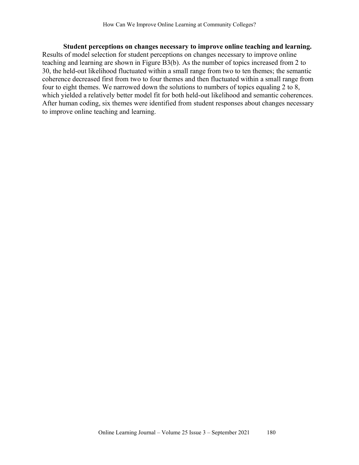**Student perceptions on changes necessary to improve online teaching and learning.** Results of model selection for student perceptions on changes necessary to improve online teaching and learning are shown in Figure B3(b). As the number of topics increased from 2 to 30, the held-out likelihood fluctuated within a small range from two to ten themes; the semantic coherence decreased first from two to four themes and then fluctuated within a small range from four to eight themes. We narrowed down the solutions to numbers of topics equaling 2 to 8, which yielded a relatively better model fit for both held-out likelihood and semantic coherences. After human coding, six themes were identified from student responses about changes necessary to improve online teaching and learning.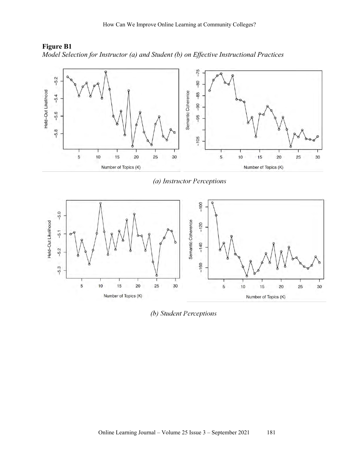

**Figure B1** *Model Selection for Instructor (a) and Student (b) on Effective Instructional Practices*

(a) Instructor Perceptions



(b) Student Perceptions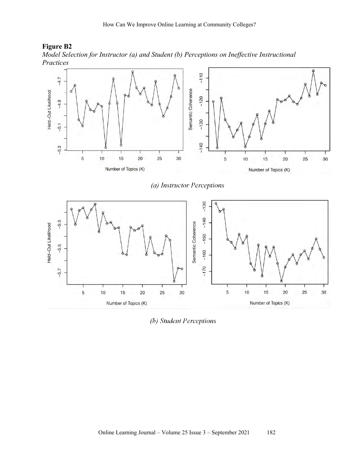

*Model Selection for Instructor (a) and Student (b) Perceptions on Ineffective Instructional Practices*



(b) Student Perceptions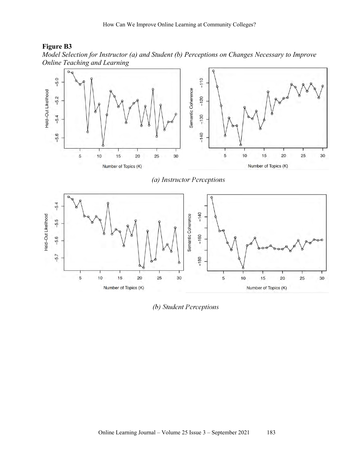

*Model Selection for Instructor (a) and Student (b) Perceptions on Changes Necessary to Improve Online Teaching and Learning*



(a) Instructor Perceptions



(b) Student Perceptions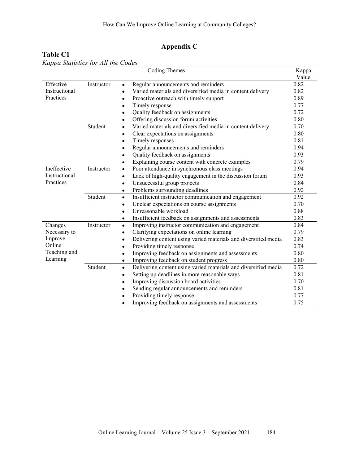# **Appendix C**

# **Table C1**

|               |            | <b>Coding Themes</b>                                                         | Kappa |
|---------------|------------|------------------------------------------------------------------------------|-------|
|               |            |                                                                              | Value |
| Effective     | Instructor | Regular announcements and reminders<br>$\bullet$                             | 0.82  |
| Instructional |            | Varied materials and diversified media in content delivery<br>$\bullet$      | 0.82  |
| Practices     |            | Proactive outreach with timely support<br>$\bullet$                          | 0.89  |
|               |            | Timely response<br>$\bullet$                                                 | 0.77  |
|               |            | Quality feedback on assignments<br>$\bullet$                                 | 0.72  |
|               |            | Offering discussion forum activities<br>$\bullet$                            | 0.80  |
|               | Student    | Varied materials and diversified media in content delivery<br>$\bullet$      | 0.70  |
|               |            | Clear expectations on assignments<br>$\bullet$                               | 0.80  |
|               |            | Timely responses                                                             | 0.81  |
|               |            | Regular announcements and reminders<br>$\bullet$                             | 0.94  |
|               |            | Quality feedback on assignments<br>$\bullet$                                 | 0.93  |
|               |            | Explaining course content with concrete examples<br>$\bullet$                | 0.79  |
| Ineffective   | Instructor | Poor attendance in synchronous class meetings<br>$\bullet$                   | 0.94  |
| Instructional |            | Lack of high-quality engagement in the discussion forum<br>$\bullet$         | 0.93  |
| Practices     |            | Unsuccessful group projects<br>$\bullet$                                     | 0.84  |
|               |            | Problems surrounding deadlines<br>$\bullet$                                  | 0.92  |
|               | Student    | Insufficient instructor communication and engagement<br>$\bullet$            | 0.92  |
|               |            | Unclear expectations on course assignments<br>$\bullet$                      | 0.70  |
|               |            | Unreasonable workload<br>$\bullet$                                           | 0.88  |
|               |            | Insufficient feedback on assignments and assessments<br>$\bullet$            | 0.83  |
| Changes       | Instructor | Improving instructor communication and engagement<br>$\bullet$               | 0.84  |
| Necessary to  |            | Clarifying expectations on online learning<br>$\bullet$                      | 0.79  |
| Improve       |            | Delivering content using varied materials and diversified media<br>$\bullet$ | 0.83  |
| Online        |            | Providing timely response<br>$\bullet$                                       | 0.74  |
| Teaching and  |            | Improving feedback on assignments and assessments<br>$\bullet$               | 0.80  |
| Learning      |            | Improving feedback on student progress<br>$\bullet$                          | 0.80  |
|               | Student    | Delivering content using varied materials and diversified media<br>$\bullet$ | 0.72  |
|               |            | Setting up deadlines in more reasonable ways<br>$\bullet$                    | 0.81  |
|               |            | Improving discussion board activities<br>٠                                   | 0.70  |
|               |            | Sending regular announcements and reminders<br>$\bullet$                     | 0.81  |
|               |            | Providing timely response                                                    | 0.77  |
|               |            | Improving feedback on assignments and assessments                            | 0.75  |

*Kappa Statistics for All the Codes*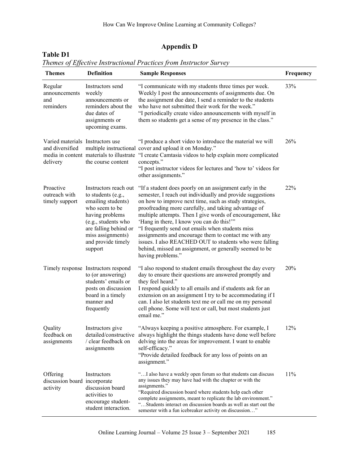# **Appendix D**

| <b>Themes</b>                                                   | <b>Definition</b>                                                                                                                                                                                            | <b>Sample Responses</b>                                                                                                                                                                                                                                                                                                                                                                                                                                                                                                                                                                                     | Frequency |
|-----------------------------------------------------------------|--------------------------------------------------------------------------------------------------------------------------------------------------------------------------------------------------------------|-------------------------------------------------------------------------------------------------------------------------------------------------------------------------------------------------------------------------------------------------------------------------------------------------------------------------------------------------------------------------------------------------------------------------------------------------------------------------------------------------------------------------------------------------------------------------------------------------------------|-----------|
| Regular<br>announcements<br>and<br>reminders                    | Instructors send<br>weekly<br>announcements or<br>reminders about the<br>due dates of<br>assignments or<br>upcoming exams.                                                                                   | "I communicate with my students three times per week.<br>Weekly I post the announcements of assignments due. On<br>the assignment due date, I send a reminder to the students<br>who have not submitted their work for the week."<br>"I periodically create video announcements with myself in<br>them so students get a sense of my presence in the class."                                                                                                                                                                                                                                                | 33%       |
| Varied materials Instructors use<br>and diversified<br>delivery | media in content materials to illustrate<br>the course content                                                                                                                                               | "I produce a short video to introduce the material we will<br>multiple instructional cover and upload it on Monday."<br>"I create Camtasia videos to help explain more complicated<br>concepts."<br>"I post instructor videos for lectures and 'how to' videos for<br>other assignments."                                                                                                                                                                                                                                                                                                                   | 26%       |
| Proactive<br>outreach with<br>timely support                    | Instructors reach out<br>to students (e.g.,<br>emailing students)<br>who seem to be<br>having problems<br>(e.g., students who<br>are falling behind or<br>miss assignments)<br>and provide timely<br>support | "If a student does poorly on an assignment early in the<br>semester, I reach out individually and provide suggestions<br>on how to improve next time, such as study strategies,<br>proofreading more carefully, and taking advantage of<br>multiple attempts. Then I give words of encouragement, like<br>'Hang in there, I know you can do this!""<br>"I frequently send out emails when students miss<br>assignments and encourage them to contact me with any<br>issues. I also REACHED OUT to students who were falling<br>behind, missed an assignment, or generally seemed to be<br>having problems." | 22%       |
|                                                                 | Timely response Instructors respond<br>to (or answering)<br>students' emails or<br>posts on discussion<br>board in a timely<br>manner and<br>frequently                                                      | "I also respond to student emails throughout the day every<br>day to ensure their questions are answered promptly and<br>they feel heard."<br>I respond quickly to all emails and if students ask for an<br>extension on an assignment I try to be accommodating if I<br>can. I also let students text me or call me on my personal<br>cell phone. Some will text or call, but most students just<br>email me."                                                                                                                                                                                             | 20%       |
| Quality<br>feedback on<br>assignments                           | Instructors give<br>/ clear feedback on<br>assignments                                                                                                                                                       | "Always keeping a positive atmosphere. For example, I<br>detailed/constructive always highlight the things students have done well before<br>delving into the areas for improvement. I want to enable<br>self-efficacy."<br>"Provide detailed feedback for any loss of points on an<br>assignment."                                                                                                                                                                                                                                                                                                         | 12%       |
| Offering<br>discussion board incorporate<br>activity            | Instructors<br>discussion board<br>activities to<br>encourage student-<br>student interaction.                                                                                                               | " I also have a weekly open forum so that students can discuss<br>any issues they may have had with the chapter or with the<br>assignments."<br>"Required discussion board where students help each other<br>complete assignments, meant to replicate the lab environment."<br>"Students interact on discussion boards as well as start out the<br>semester with a fun icebreaker activity on discussion"                                                                                                                                                                                                   | 11%       |

#### *Themes of Effective Instructional Practices from Instructor Survey*

**Table D1**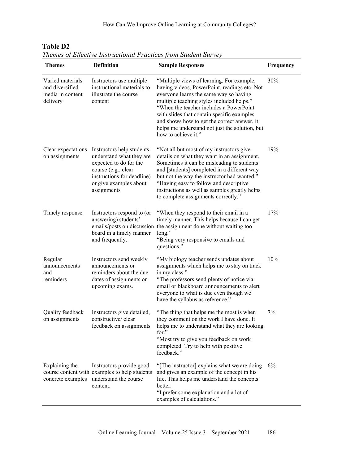| 110010000<br><b>Themes</b>                                          | <b>Definition</b>                                                                                                                                                             | <u>Lifecuve mou actional i ractices from Sudditi Survey</u><br><b>Sample Responses</b>                                                                                                                                                                                                                                                                                                            | Frequency |
|---------------------------------------------------------------------|-------------------------------------------------------------------------------------------------------------------------------------------------------------------------------|---------------------------------------------------------------------------------------------------------------------------------------------------------------------------------------------------------------------------------------------------------------------------------------------------------------------------------------------------------------------------------------------------|-----------|
| Varied materials<br>and diversified<br>media in content<br>delivery | Instructors use multiple<br>instructional materials to<br>illustrate the course<br>content                                                                                    | "Multiple views of learning. For example,<br>having videos, PowerPoint, readings etc. Not<br>everyone learns the same way so having<br>multiple teaching styles included helps."<br>"When the teacher includes a PowerPoint<br>with slides that contain specific examples<br>and shows how to get the correct answer, it<br>helps me understand not just the solution, but<br>how to achieve it." | 30%       |
| Clear expectations<br>on assignments                                | Instructors help students<br>understand what they are<br>expected to do for the<br>course (e.g., clear<br>instructions for deadline)<br>or give examples about<br>assignments | "Not all but most of my instructors give<br>details on what they want in an assignment.<br>Sometimes it can be misleading to students<br>and [students] completed in a different way<br>but not the way the instructor had wanted."<br>"Having easy to follow and descriptive<br>instructions as well as samples greatly helps<br>to complete assignments correctly."                             | 19%       |
| Timely response                                                     | Instructors respond to (or<br>answering) students'<br>board in a timely manner<br>and frequently.                                                                             | "When they respond to their email in a<br>timely manner. This helps because I can get<br>emails/posts on discussion the assignment done without waiting too<br>long."<br>"Being very responsive to emails and<br>questions."                                                                                                                                                                      | 17%       |
| Regular<br>announcements<br>and<br>reminders                        | Instructors send weekly<br>announcements or<br>reminders about the due<br>dates of assignments or<br>upcoming exams.                                                          | "My biology teacher sends updates about<br>assignments which helps me to stay on track<br>in my class."<br>"The professors send plenty of notice via<br>email or blackboard announcements to alert<br>everyone to what is due even though we<br>have the syllabus as reference."                                                                                                                  | 10%       |
| Quality feedback<br>on assignments                                  | Instructors give detailed,<br>constructive/clear<br>feedback on assignments                                                                                                   | "The thing that helps me the most is when<br>they comment on the work I have done. It<br>helps me to understand what they are looking<br>for."<br>"Most try to give you feedback on work<br>completed. Try to help with positive<br>feedback."                                                                                                                                                    | 7%        |
| Explaining the                                                      | Instructors provide good<br>course content with examples to help students<br>concrete examples understand the course<br>content.                                              | "[The instructor] explains what we are doing<br>and gives an example of the concept in his<br>life. This helps me understand the concepts<br>better.<br>"I prefer some explanation and a lot of<br>examples of calculations."                                                                                                                                                                     | 6%        |

| Table D <sub>2</sub>                                            |
|-----------------------------------------------------------------|
| Themes of Effective Instructional Practices from Student Survey |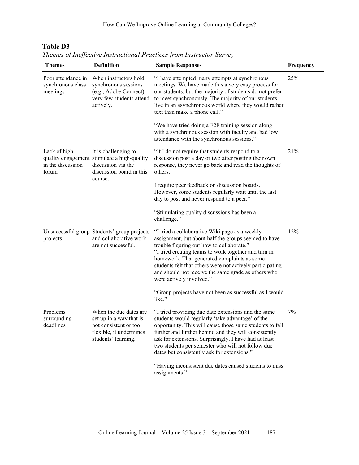| <b>Themes</b>                                       | <b>Definition</b>                                                                                                             | <b>Sample Responses</b>                                                                                                                                                                                                                                                                                                                                                                                    | Frequency |
|-----------------------------------------------------|-------------------------------------------------------------------------------------------------------------------------------|------------------------------------------------------------------------------------------------------------------------------------------------------------------------------------------------------------------------------------------------------------------------------------------------------------------------------------------------------------------------------------------------------------|-----------|
| Poor attendance in<br>synchronous class<br>meetings | When instructors hold<br>synchronous sessions<br>(e.g., Adobe Connect),<br>very few students attend<br>actively.              | "I have attempted many attempts at synchronous<br>meetings. We have made this a very easy process for<br>our students, but the majority of students do not prefer<br>to meet synchronously. The majority of our students<br>live in an asynchronous world where they would rather<br>text than make a phone call."                                                                                         | 25%       |
|                                                     |                                                                                                                               | "We have tried doing a F2F training session along<br>with a synchronous session with faculty and had low<br>attendance with the synchronous sessions."                                                                                                                                                                                                                                                     |           |
| Lack of high-<br>in the discussion<br>forum         | It is challenging to<br>quality engagement stimulate a high-quality<br>discussion via the<br>discussion board in this         | "If I do not require that students respond to a<br>discussion post a day or two after posting their own<br>response, they never go back and read the thoughts of<br>others."                                                                                                                                                                                                                               | 21%       |
|                                                     | course.                                                                                                                       | I require peer feedback on discussion boards.<br>However, some students regularly wait until the last<br>day to post and never respond to a peer."                                                                                                                                                                                                                                                         |           |
|                                                     |                                                                                                                               | "Stimulating quality discussions has been a<br>challenge."                                                                                                                                                                                                                                                                                                                                                 |           |
| projects                                            | Unsuccessful group Students' group projects<br>and collaborative work<br>are not successful.                                  | "I tried a collaborative Wiki page as a weekly<br>assignment, but about half the groups seemed to have<br>trouble figuring out how to collaborate."<br>"I tried creating teams to work together and turn in<br>homework. That generated complaints as some<br>students felt that others were not actively participating<br>and should not receive the same grade as others who<br>were actively involved." | 12%       |
|                                                     |                                                                                                                               | "Group projects have not been as successful as I would<br>like."                                                                                                                                                                                                                                                                                                                                           |           |
| Problems<br>surrounding<br>deadlines                | When the due dates are.<br>set up in a way that is<br>not consistent or too<br>flexible, it undermines<br>students' learning. | "I tried providing due date extensions and the same<br>students would regularly 'take advantage' of the<br>opportunity. This will cause those same students to fall<br>further and further behind and they will consistently<br>ask for extensions. Surprisingly, I have had at least<br>two students per semester who will not follow due<br>dates but consistently ask for extensions."                  | 7%        |
|                                                     |                                                                                                                               | "Having inconsistent due dates caused students to miss<br>assignments."                                                                                                                                                                                                                                                                                                                                    |           |

# **Table D3**

*Themes of Ineffective Instructional Practices from Instructor Survey*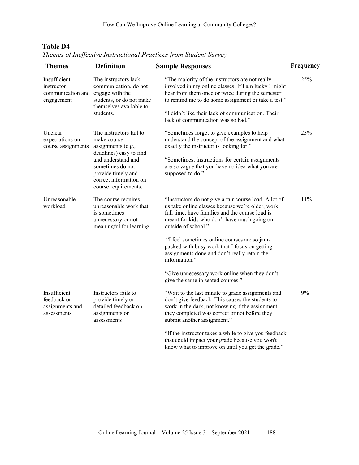| <b>Themes</b>                                                                 | <b>Definition</b>                                                                                                                                                                                         | <b>Sample Responses</b>                                                                                                                                                                                                                                                                                                                                                                                                                               | Frequency |
|-------------------------------------------------------------------------------|-----------------------------------------------------------------------------------------------------------------------------------------------------------------------------------------------------------|-------------------------------------------------------------------------------------------------------------------------------------------------------------------------------------------------------------------------------------------------------------------------------------------------------------------------------------------------------------------------------------------------------------------------------------------------------|-----------|
| Insufficient<br>instructor<br>communication and engage with the<br>engagement | The instructors lack<br>communication, do not<br>students, or do not make<br>themselves available to<br>students.                                                                                         | "The majority of the instructors are not really<br>involved in my online classes. If I am lucky I might<br>hear from them once or twice during the semester<br>to remind me to do some assignment or take a test."<br>"I didn't like their lack of communication. Their<br>lack of communication was so bad."                                                                                                                                         | 25%       |
| Unclear<br>expectations on<br>course assignments                              | The instructors fail to<br>make course<br>assignments (e.g.,<br>deadlines) easy to find<br>and understand and<br>sometimes do not<br>provide timely and<br>correct information on<br>course requirements. | "Sometimes forget to give examples to help<br>understand the concept of the assignment and what<br>exactly the instructor is looking for."<br>"Sometimes, instructions for certain assignments<br>are so vague that you have no idea what you are<br>supposed to do."                                                                                                                                                                                 | 23%       |
| Unreasonable<br>workload                                                      | The course requires<br>unreasonable work that<br>is sometimes<br>unnecessary or not<br>meaningful for learning.                                                                                           | "Instructors do not give a fair course load. A lot of<br>us take online classes because we're older, work<br>full time, have families and the course load is<br>meant for kids who don't have much going on<br>outside of school."<br>"I feel sometimes online courses are so jam-<br>packed with busy work that I focus on getting<br>assignments done and don't really retain the<br>information."<br>"Give unnecessary work online when they don't | 11%       |
| Insufficient<br>feedback on<br>assignments and<br>assessments                 | Instructors fails to<br>provide timely or<br>detailed feedback on<br>assignments or<br>assessments                                                                                                        | give the same in seated courses."<br>"Wait to the last minute to grade assignments and<br>don't give feedback. This causes the students to<br>work in the dark, not knowing if the assignment<br>they completed was correct or not before they<br>submit another assignment."<br>"If the instructor takes a while to give you feedback<br>that could impact your grade because you won't<br>know what to improve on until you get the grade."         | 9%        |

**Table D4** *Themes of Ineffective Instructional Practices from Student Survey*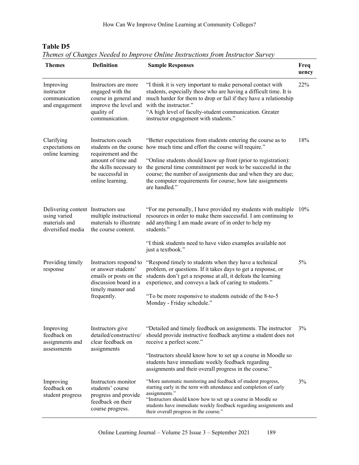| $1$ $\mu$ $\mu$ $\mu$ $\mu$ $\sigma$<br><b>Themes</b>                                    | <b>Definition</b>                                                                                                                                           | Changes Treeada to Improve Onthic Histractions from Histractor Sai vey<br><b>Sample Responses</b>                                                                                                                                                                                                                                                                                                   | Freq<br>uency |
|------------------------------------------------------------------------------------------|-------------------------------------------------------------------------------------------------------------------------------------------------------------|-----------------------------------------------------------------------------------------------------------------------------------------------------------------------------------------------------------------------------------------------------------------------------------------------------------------------------------------------------------------------------------------------------|---------------|
| Improving<br>instructor<br>communication<br>and engagement                               | Instructors are more<br>engaged with the<br>course in general and<br>improve the level and<br>quality of<br>communication.                                  | "I think it is very important to make personal contact with<br>students, especially those who are having a difficult time. It is<br>much harder for them to drop or fail if they have a relationship<br>with the instructor."<br>"A high level of faculty-student communication. Greater<br>instructor engagement with students."                                                                   | 22%           |
| Clarifying<br>expectations on<br>online learning                                         | Instructors coach<br>students on the course<br>requirement and the<br>amount of time and<br>the skills necessary to<br>be successful in<br>online learning. | "Better expectations from students entering the course as to<br>how much time and effort the course will require."<br>"Online students should know up front (prior to registration):<br>the general time commitment per week to be successful in the<br>course; the number of assignments due and when they are due;<br>the computer requirements for course; how late assignments<br>are handled." | 18%           |
| Delivering content Instructors use<br>using varied<br>materials and<br>diversified media | multiple instructional<br>materials to illustrate<br>the course content.                                                                                    | "For me personally, I have provided my students with multiple<br>resources in order to make them successful. I am continuing to<br>add anything I am made aware of in order to help my<br>students."<br>"I think students need to have video examples available not<br>just a textbook."                                                                                                            | 10%           |
| Providing timely<br>response                                                             | Instructors respond to<br>or answer students'<br>emails or posts on the<br>discussion board in a<br>timely manner and<br>frequently.                        | "Respond timely to students when they have a technical<br>problem, or questions. If it takes days to get a response, or<br>students don't get a response at all, it defeats the learning<br>experience, and conveys a lack of caring to students."<br>"To be more responsive to students outside of the 8-to-5<br>Monday - Friday schedule."                                                        | 5%            |
| Improving<br>feedback on<br>assignments and<br>assessments                               | Instructors give<br>detailed/constructive/<br>clear feedback on<br>assignments                                                                              | "Detailed and timely feedback on assignments. The instructor<br>should provide instructive feedback anytime a student does not<br>receive a perfect score."<br>"Instructors should know how to set up a course in Moodle so<br>students have immediate weekly feedback regarding<br>assignments and their overall progress in the course."                                                          | 3%            |
| Improving<br>feedback on<br>student progress                                             | Instructors monitor<br>students' course<br>progress and provide<br>feedback on their<br>course progress.                                                    | "More automatic monitoring and feedback of student progress,<br>starting early in the term with attendance and completion of early<br>assignments."<br>"Instructors should know how to set up a course in Moodle so<br>students have immediate weekly feedback regarding assignments and<br>their overall progress in the course."                                                                  | 3%            |

## **Table D5**

*Themes of Changes Needed to Improve Online Instructions from Instructor Survey*